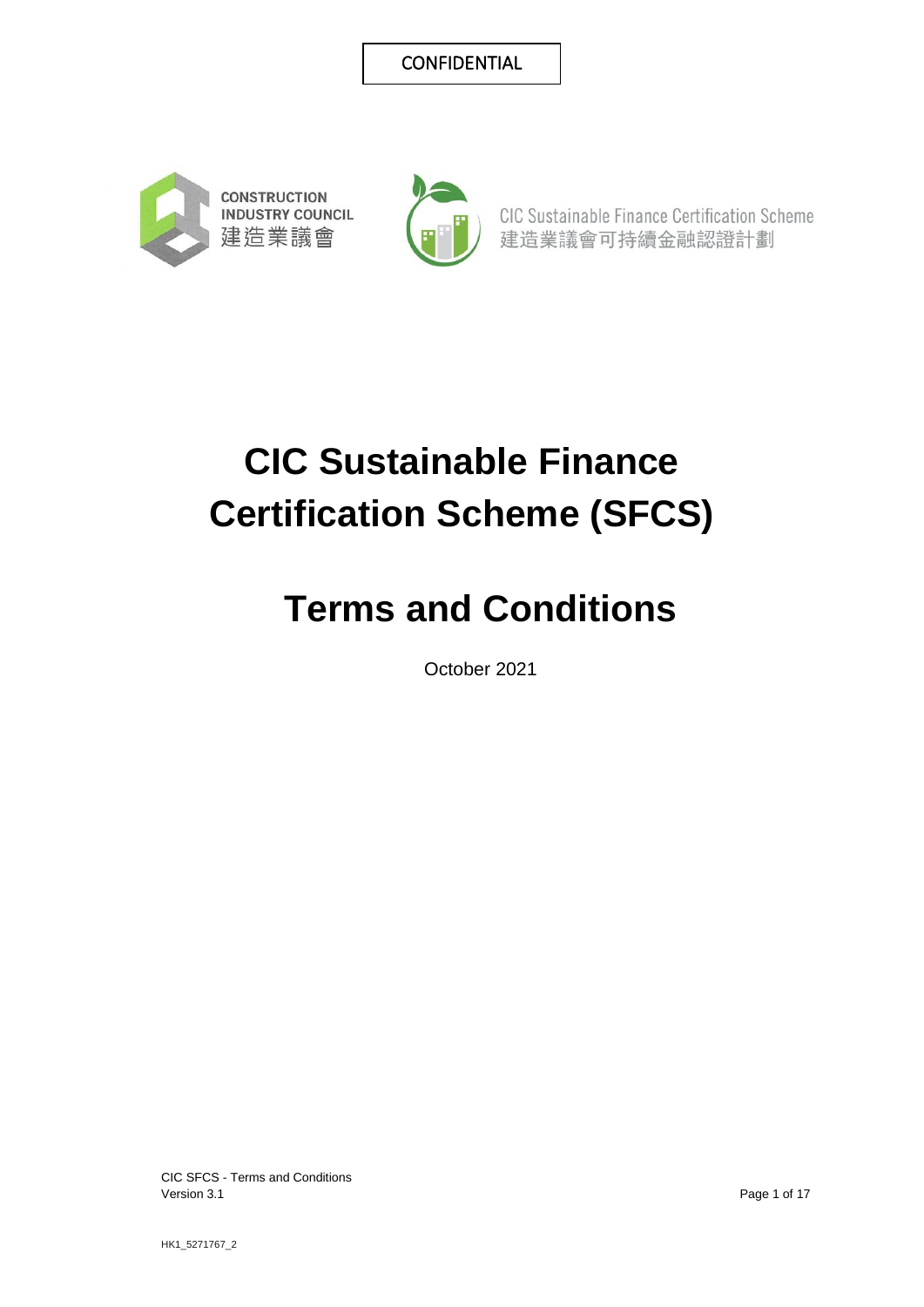



CIC Sustainable Finance Certification Scheme 建造業議會可持續金融認證計劃

# **CIC Sustainable Finance Certification Scheme (SFCS)**

## **Terms and Conditions**

October 2021

CIC SFCS - Terms and Conditions Version 3.1 Page 1 of 17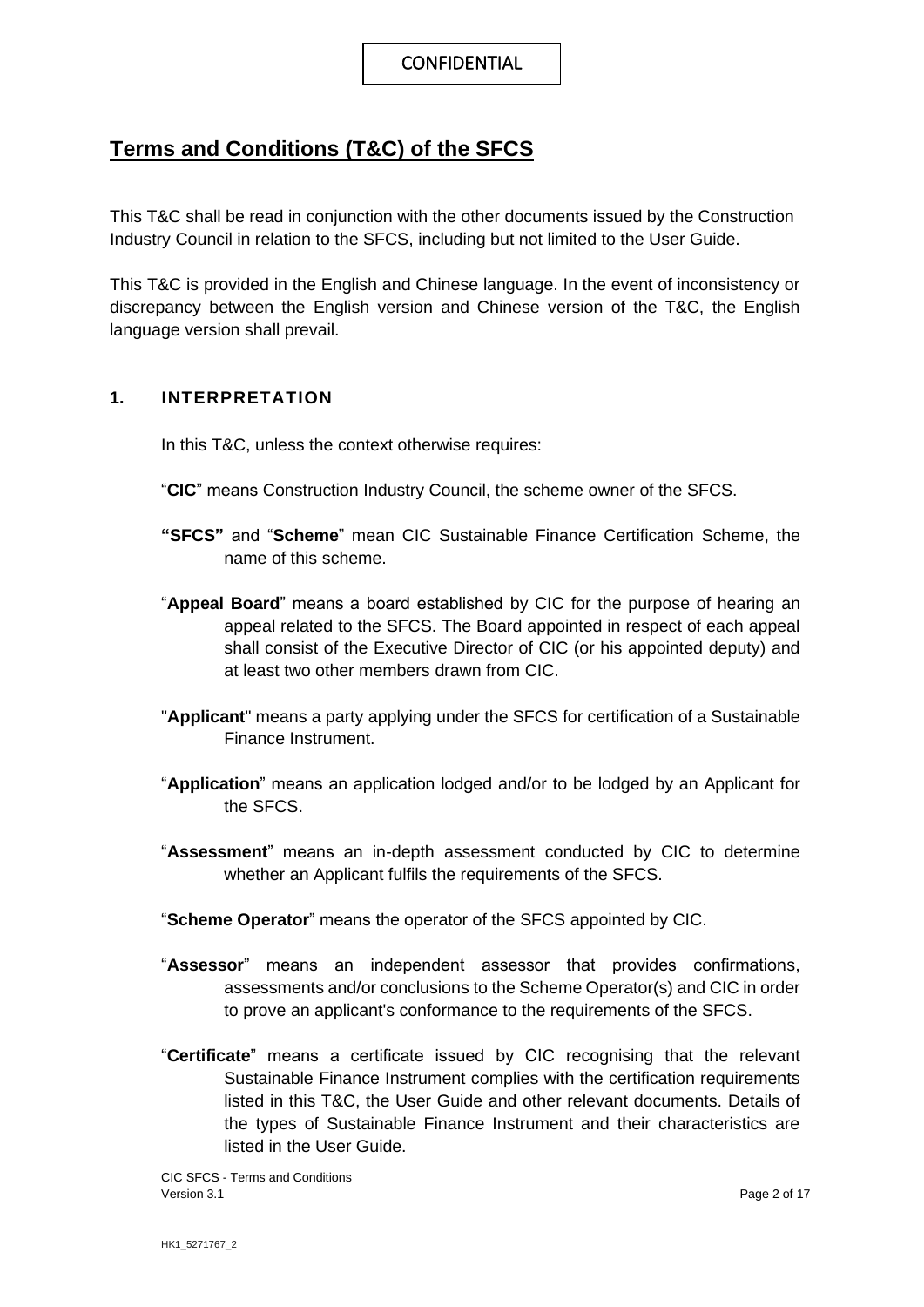### **Terms and Conditions (T&C) of the SFCS**

This T&C shall be read in conjunction with the other documents issued by the Construction Industry Council in relation to the SFCS, including but not limited to the User Guide.

This T&C is provided in the English and Chinese language. In the event of inconsistency or discrepancy between the English version and Chinese version of the T&C, the English language version shall prevail.

#### **1. INTERPRETATION**

In this T&C, unless the context otherwise requires:

- "**CIC**" means Construction Industry Council, the scheme owner of the SFCS.
- **"SFCS"** and "**Scheme**" mean CIC Sustainable Finance Certification Scheme, the name of this scheme.
- "**Appeal Board**" means a board established by CIC for the purpose of hearing an appeal related to the SFCS. The Board appointed in respect of each appeal shall consist of the Executive Director of CIC (or his appointed deputy) and at least two other members drawn from CIC.
- "**Applicant**" means a party applying under the SFCS for certification of a Sustainable Finance Instrument.
- "**Application**" means an application lodged and/or to be lodged by an Applicant for the SFCS.
- "**Assessment**" means an in-depth assessment conducted by CIC to determine whether an Applicant fulfils the requirements of the SFCS.
- "**Scheme Operator**" means the operator of the SFCS appointed by CIC.
- "**Assessor**" means an independent assessor that provides confirmations, assessments and/or conclusions to the Scheme Operator(s) and CIC in order to prove an applicant's conformance to the requirements of the SFCS.
- "**Certificate**" means a certificate issued by CIC recognising that the relevant Sustainable Finance Instrument complies with the certification requirements listed in this T&C, the User Guide and other relevant documents. Details of the types of Sustainable Finance Instrument and their characteristics are listed in the User Guide.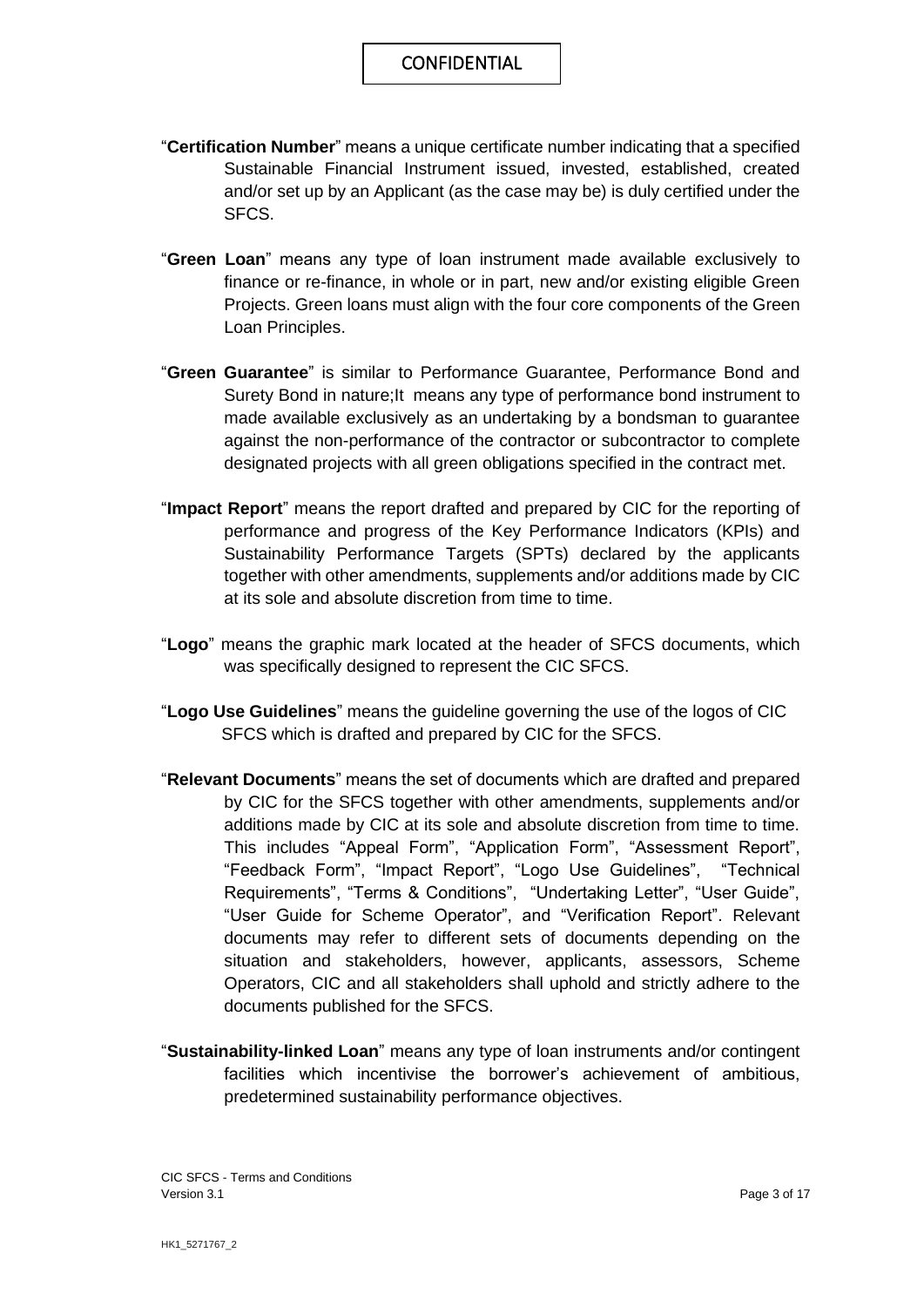- "**Certification Number**" means a unique certificate number indicating that a specified Sustainable Financial Instrument issued, invested, established, created and/or set up by an Applicant (as the case may be) is duly certified under the SFCS.
- "**Green Loan**" means any type of loan instrument made available exclusively to finance or re-finance, in whole or in part, new and/or existing eligible Green Projects. Green loans must align with the four core components of the Green Loan Principles.
- "**Green Guarantee**" is similar to Performance Guarantee, Performance Bond and Surety Bond in nature;It means any type of performance bond instrument to made available exclusively as an undertaking by a bondsman to guarantee against the non-performance of the contractor or subcontractor to complete designated projects with all green obligations specified in the contract met.
- "**Impact Report**" means the report drafted and prepared by CIC for the reporting of performance and progress of the Key Performance Indicators (KPIs) and Sustainability Performance Targets (SPTs) declared by the applicants together with other amendments, supplements and/or additions made by CIC at its sole and absolute discretion from time to time.
- "**Logo**" means the graphic mark located at the header of SFCS documents, which was specifically designed to represent the CIC SFCS.
- "**Logo Use Guidelines**" means the guideline governing the use of the logos of CIC SFCS which is drafted and prepared by CIC for the SFCS.
- "**Relevant Documents**" means the set of documents which are drafted and prepared by CIC for the SFCS together with other amendments, supplements and/or additions made by CIC at its sole and absolute discretion from time to time. This includes "Appeal Form", "Application Form", "Assessment Report", "Feedback Form", "Impact Report", "Logo Use Guidelines", "Technical Requirements", "Terms & Conditions", "Undertaking Letter", "User Guide", "User Guide for Scheme Operator", and "Verification Report". Relevant documents may refer to different sets of documents depending on the situation and stakeholders, however, applicants, assessors, Scheme Operators, CIC and all stakeholders shall uphold and strictly adhere to the documents published for the SFCS.
- "**Sustainability-linked Loan**" means any type of loan instruments and/or contingent facilities which incentivise the borrower's achievement of ambitious, predetermined sustainability performance objectives.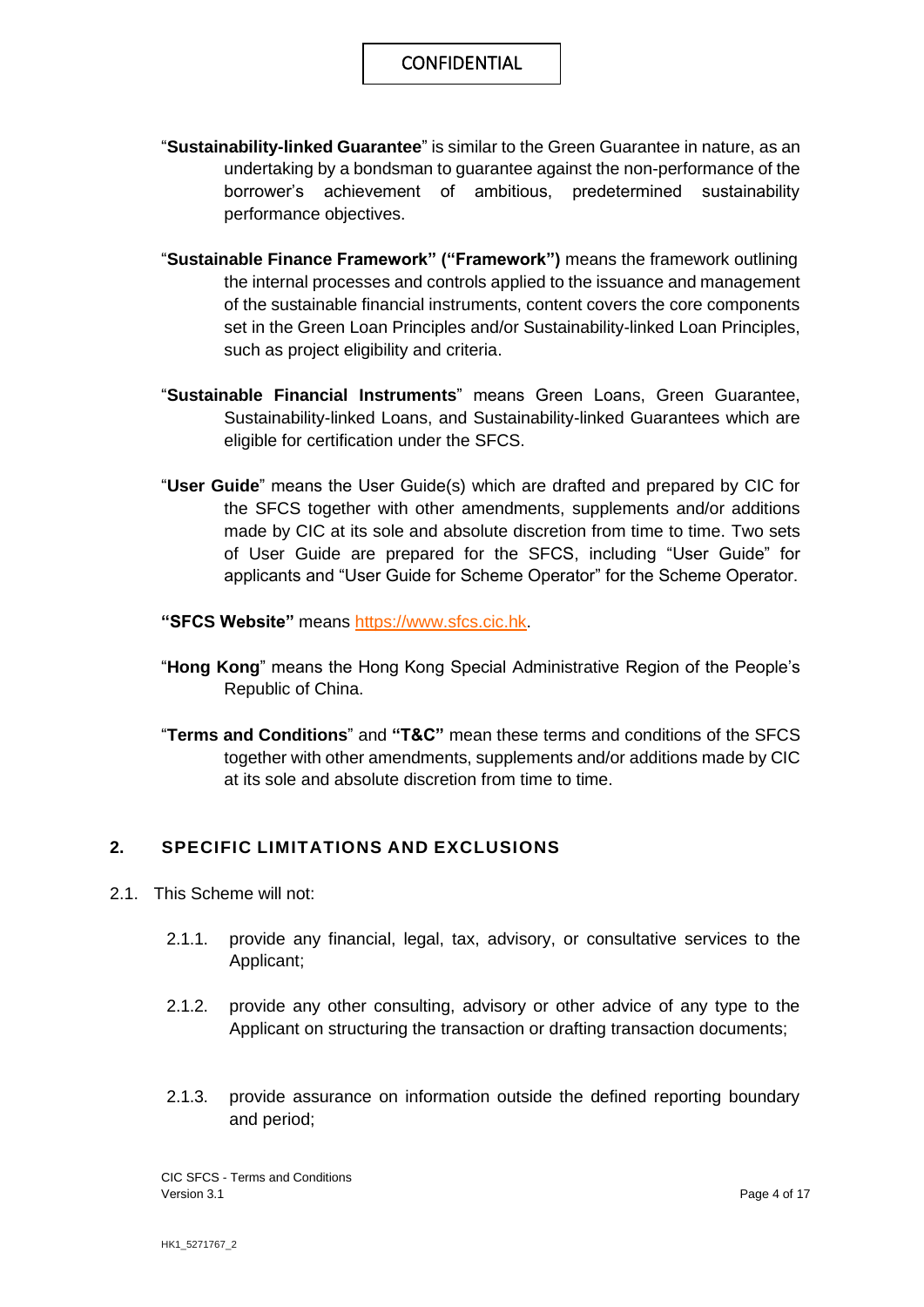- "**Sustainability-linked Guarantee**" is similar to the Green Guarantee in nature, as an undertaking by a bondsman to guarantee against the non-performance of the borrower's achievement of ambitious, predetermined sustainability performance objectives.
- "**Sustainable Finance Framework" ("Framework")** means the framework outlining the internal processes and controls applied to the issuance and management of the sustainable financial instruments, content covers the core components set in the Green Loan Principles and/or Sustainability-linked Loan Principles, such as project eligibility and criteria.
- "**Sustainable Financial Instruments**" means Green Loans, Green Guarantee, Sustainability-linked Loans, and Sustainability-linked Guarantees which are eligible for certification under the SFCS.
- "**User Guide**" means the User Guide(s) which are drafted and prepared by CIC for the SFCS together with other amendments, supplements and/or additions made by CIC at its sole and absolute discretion from time to time. Two sets of User Guide are prepared for the SFCS, including "User Guide" for applicants and "User Guide for Scheme Operator" for the Scheme Operator.
- **"SFCS Website"** means [https://www.sfcs.cic.hk.](https://www.sfcs.cic.hk/)
- "**Hong Kong**" means the Hong Kong Special Administrative Region of the People's Republic of China.
- "**Terms and Conditions**" and **"T&C"** mean these terms and conditions of the SFCS together with other amendments, supplements and/or additions made by CIC at its sole and absolute discretion from time to time.

#### **2. SPECIFIC LIMITATIONS AND EXCLUSIONS**

- 2.1. This Scheme will not:
	- 2.1.1. provide any financial, legal, tax, advisory, or consultative services to the Applicant;
	- 2.1.2. provide any other consulting, advisory or other advice of any type to the Applicant on structuring the transaction or drafting transaction documents;
	- 2.1.3. provide assurance on information outside the defined reporting boundary and period;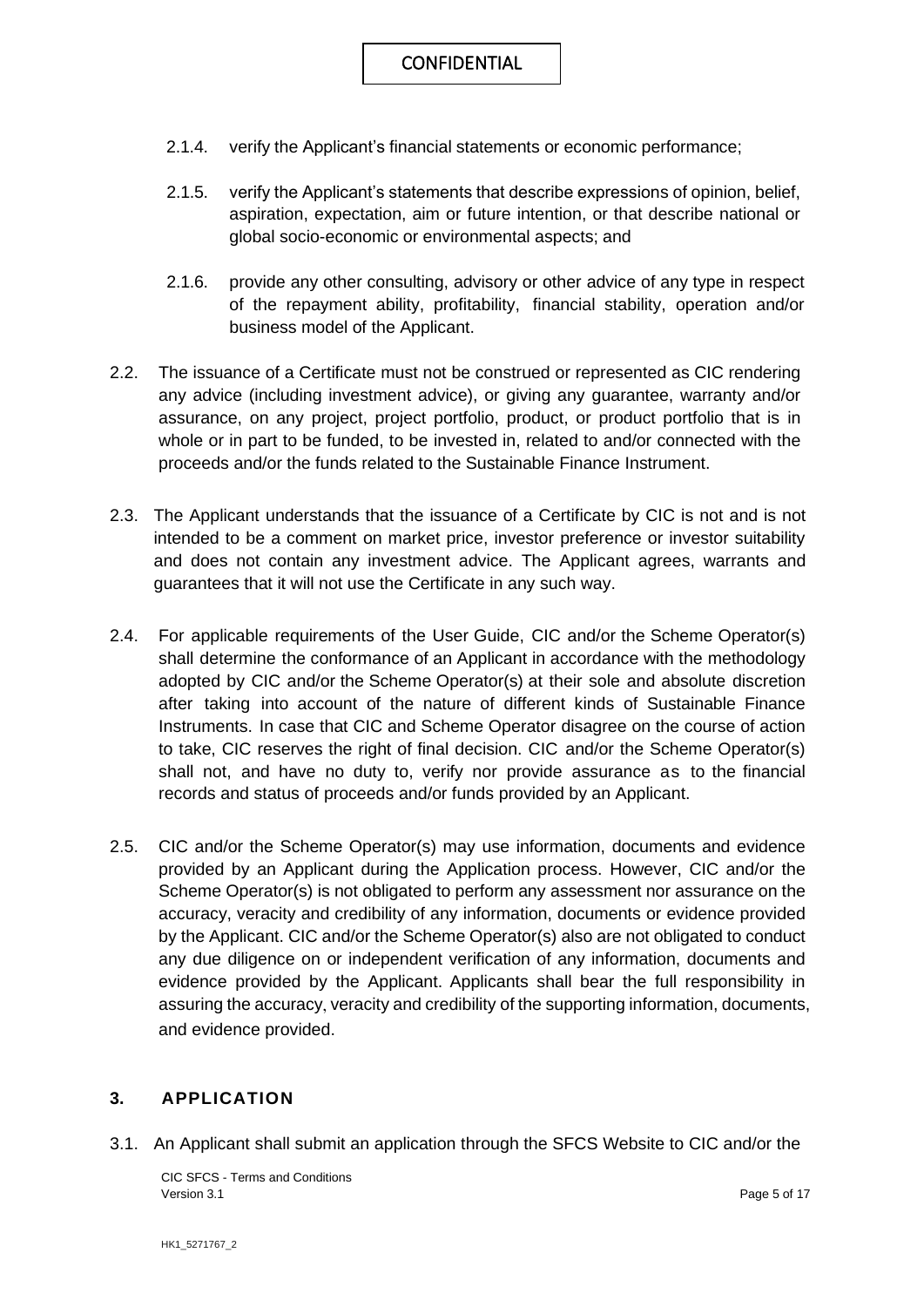- 2.1.4. verify the Applicant's financial statements or economic performance;
- 2.1.5. verify the Applicant's statements that describe expressions of opinion, belief, aspiration, expectation, aim or future intention, or that describe national or global socio-economic or environmental aspects; and
- 2.1.6. provide any other consulting, advisory or other advice of any type in respect of the repayment ability, profitability, financial stability, operation and/or business model of the Applicant.
- 2.2. The issuance of a Certificate must not be construed or represented as CIC rendering any advice (including investment advice), or giving any guarantee, warranty and/or assurance, on any project, project portfolio, product, or product portfolio that is in whole or in part to be funded, to be invested in, related to and/or connected with the proceeds and/or the funds related to the Sustainable Finance Instrument.
- 2.3. The Applicant understands that the issuance of a Certificate by CIC is not and is not intended to be a comment on market price, investor preference or investor suitability and does not contain any investment advice. The Applicant agrees, warrants and guarantees that it will not use the Certificate in any such way.
- 2.4. For applicable requirements of the User Guide, CIC and/or the Scheme Operator(s) shall determine the conformance of an Applicant in accordance with the methodology adopted by CIC and/or the Scheme Operator(s) at their sole and absolute discretion after taking into account of the nature of different kinds of Sustainable Finance Instruments. In case that CIC and Scheme Operator disagree on the course of action to take, CIC reserves the right of final decision. CIC and/or the Scheme Operator(s) shall not, and have no duty to, verify nor provide assurance as to the financial records and status of proceeds and/or funds provided by an Applicant.
- 2.5. CIC and/or the Scheme Operator(s) may use information, documents and evidence provided by an Applicant during the Application process. However, CIC and/or the Scheme Operator(s) is not obligated to perform any assessment nor assurance on the accuracy, veracity and credibility of any information, documents or evidence provided by the Applicant. CIC and/or the Scheme Operator(s) also are not obligated to conduct any due diligence on or independent verification of any information, documents and evidence provided by the Applicant. Applicants shall bear the full responsibility in assuring the accuracy, veracity and credibility of the supporting information, documents, and evidence provided.

#### **3. APPLICATION**

3.1. An Applicant shall submit an application through the SFCS Website to CIC and/or the

CIC SFCS - Terms and Conditions Version 3.1 Page 5 of 17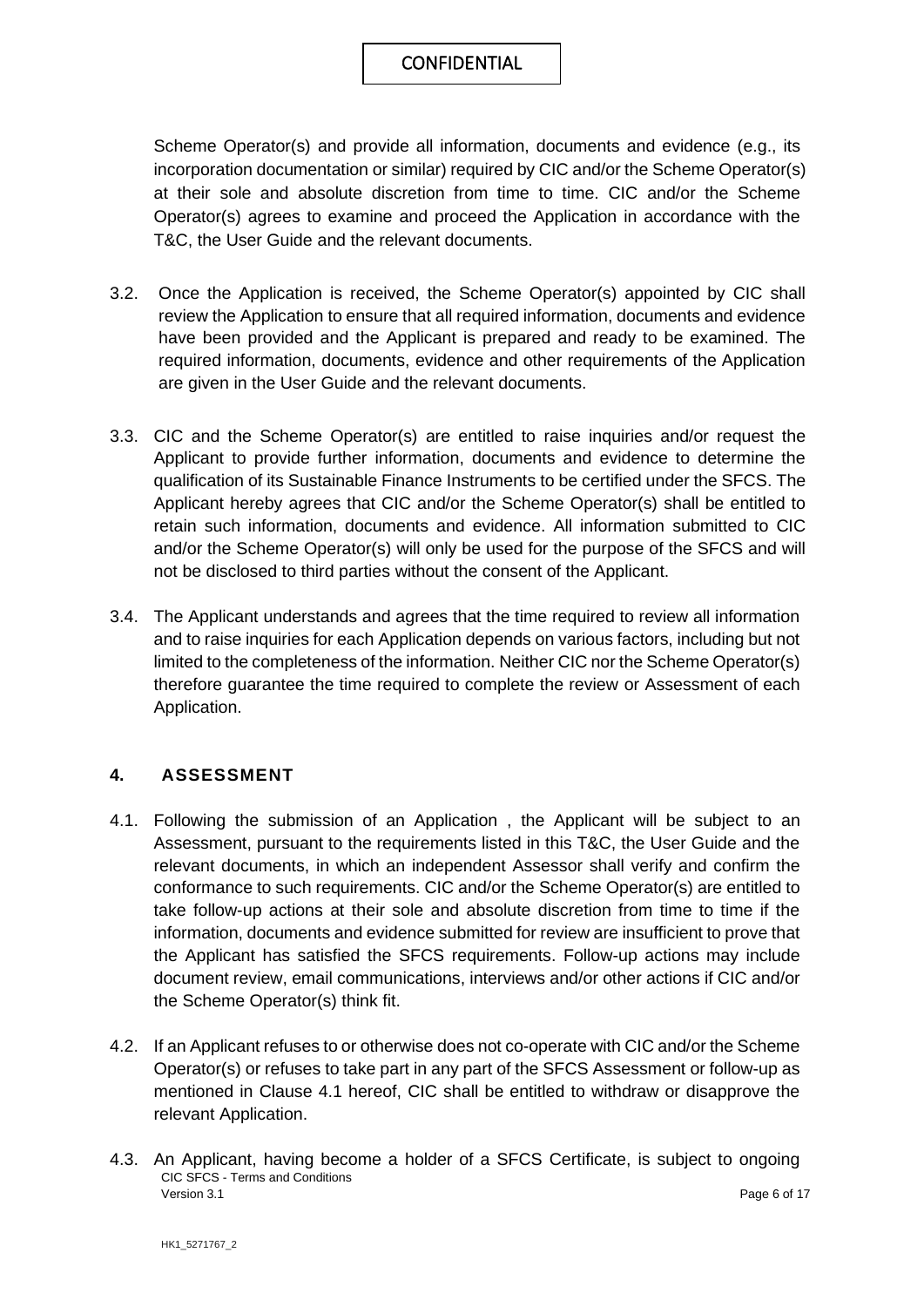Scheme Operator(s) and provide all information, documents and evidence (e.g., its incorporation documentation or similar) required by CIC and/or the Scheme Operator(s) at their sole and absolute discretion from time to time. CIC and/or the Scheme Operator(s) agrees to examine and proceed the Application in accordance with the T&C, the User Guide and the relevant documents.

- 3.2. Once the Application is received, the Scheme Operator(s) appointed by CIC shall review the Application to ensure that all required information, documents and evidence have been provided and the Applicant is prepared and ready to be examined. The required information, documents, evidence and other requirements of the Application are given in the User Guide and the relevant documents.
- 3.3. CIC and the Scheme Operator(s) are entitled to raise inquiries and/or request the Applicant to provide further information, documents and evidence to determine the qualification of its Sustainable Finance Instruments to be certified under the SFCS. The Applicant hereby agrees that CIC and/or the Scheme Operator(s) shall be entitled to retain such information, documents and evidence. All information submitted to CIC and/or the Scheme Operator(s) will only be used for the purpose of the SFCS and will not be disclosed to third parties without the consent of the Applicant.
- 3.4. The Applicant understands and agrees that the time required to review all information and to raise inquiries for each Application depends on various factors, including but not limited to the completeness of the information. Neither CIC nor the Scheme Operator(s) therefore guarantee the time required to complete the review or Assessment of each Application.

#### **4. ASSESSMENT**

- 4.1. Following the submission of an Application , the Applicant will be subject to an Assessment, pursuant to the requirements listed in this T&C, the User Guide and the relevant documents, in which an independent Assessor shall verify and confirm the conformance to such requirements. CIC and/or the Scheme Operator(s) are entitled to take follow-up actions at their sole and absolute discretion from time to time if the information, documents and evidence submitted for review are insufficient to prove that the Applicant has satisfied the SFCS requirements. Follow-up actions may include document review, email communications, interviews and/or other actions if CIC and/or the Scheme Operator(s) think fit.
- 4.2. If an Applicant refuses to or otherwise does not co-operate with CIC and/or the Scheme Operator(s) or refuses to take part in any part of the SFCS Assessment or follow-up as mentioned in Clause 4.1 hereof, CIC shall be entitled to withdraw or disapprove the relevant Application.
- CIC SFCS Terms and Conditions Version 3.1 **Page 6 of 17** 4.3. An Applicant, having become a holder of a SFCS Certificate, is subject to ongoing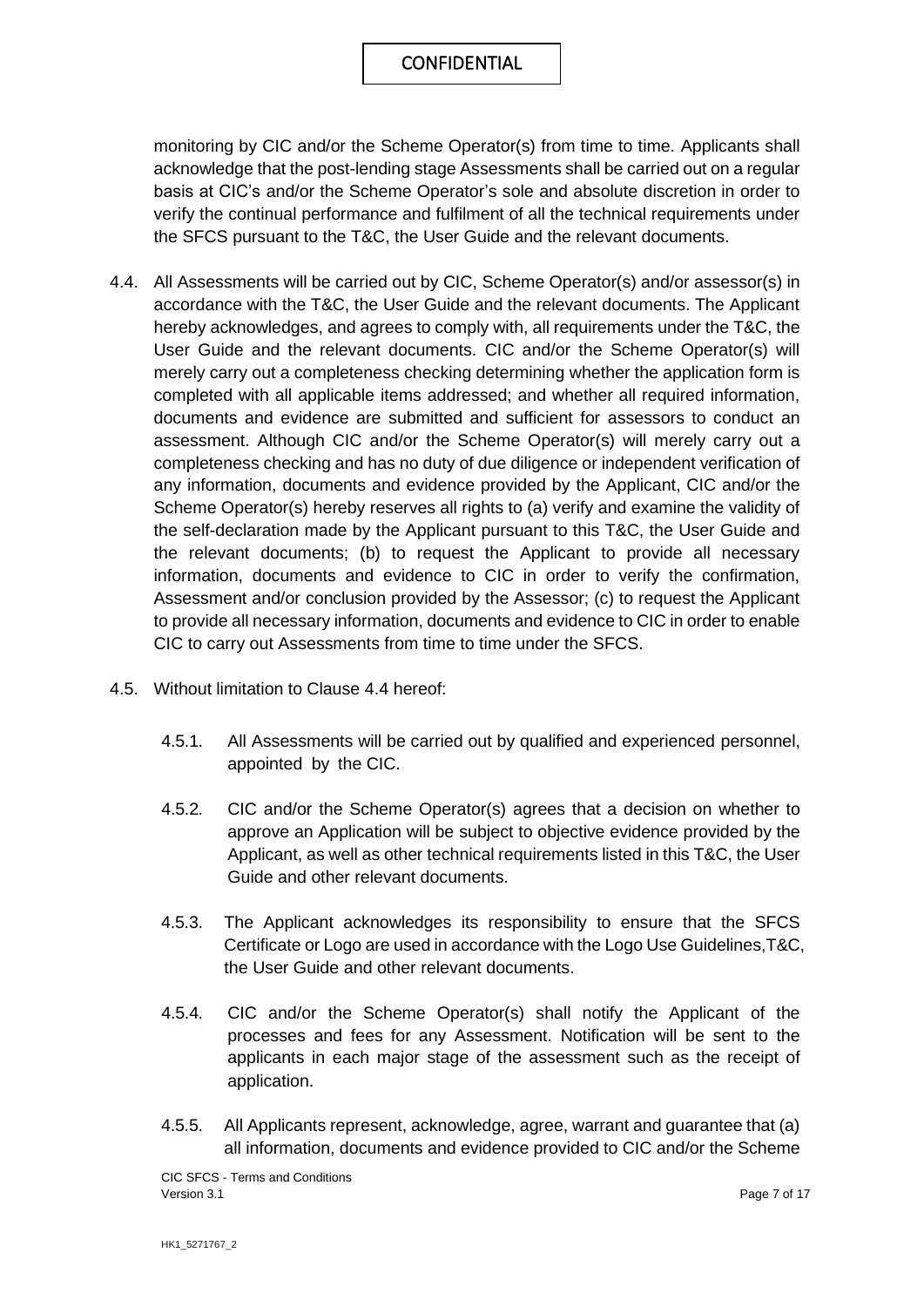monitoring by CIC and/or the Scheme Operator(s) from time to time. Applicants shall acknowledge that the post-lending stage Assessments shall be carried out on a regular basis at CIC's and/or the Scheme Operator's sole and absolute discretion in order to verify the continual performance and fulfilment of all the technical requirements under the SFCS pursuant to the T&C, the User Guide and the relevant documents.

- 4.4. All Assessments will be carried out by CIC, Scheme Operator(s) and/or assessor(s) in accordance with the T&C, the User Guide and the relevant documents. The Applicant hereby acknowledges, and agrees to comply with, all requirements under the T&C, the User Guide and the relevant documents. CIC and/or the Scheme Operator(s) will merely carry out a completeness checking determining whether the application form is completed with all applicable items addressed; and whether all required information, documents and evidence are submitted and sufficient for assessors to conduct an assessment. Although CIC and/or the Scheme Operator(s) will merely carry out a completeness checking and has no duty of due diligence or independent verification of any information, documents and evidence provided by the Applicant, CIC and/or the Scheme Operator(s) hereby reserves all rights to (a) verify and examine the validity of the self-declaration made by the Applicant pursuant to this T&C, the User Guide and the relevant documents; (b) to request the Applicant to provide all necessary information, documents and evidence to CIC in order to verify the confirmation, Assessment and/or conclusion provided by the Assessor; (c) to request the Applicant to provide all necessary information, documents and evidence to CIC in order to enable CIC to carry out Assessments from time to time under the SFCS.
- 4.5. Without limitation to Clause 4.4 hereof:
	- 4.5.1. All Assessments will be carried out by qualified and experienced personnel, appointed by the CIC.
	- 4.5.2. CIC and/or the Scheme Operator(s) agrees that a decision on whether to approve an Application will be subject to objective evidence provided by the Applicant, as well as other technical requirements listed in this T&C, the User Guide and other relevant documents.
	- 4.5.3. The Applicant acknowledges its responsibility to ensure that the SFCS Certificate or Logo are used in accordance with the Logo Use Guidelines,T&C, the User Guide and other relevant documents.
	- 4.5.4. CIC and/or the Scheme Operator(s) shall notify the Applicant of the processes and fees for any Assessment. Notification will be sent to the applicants in each major stage of the assessment such as the receipt of application.
	- 4.5.5. All Applicants represent, acknowledge, agree, warrant and guarantee that (a) all information, documents and evidence provided to CIC and/or the Scheme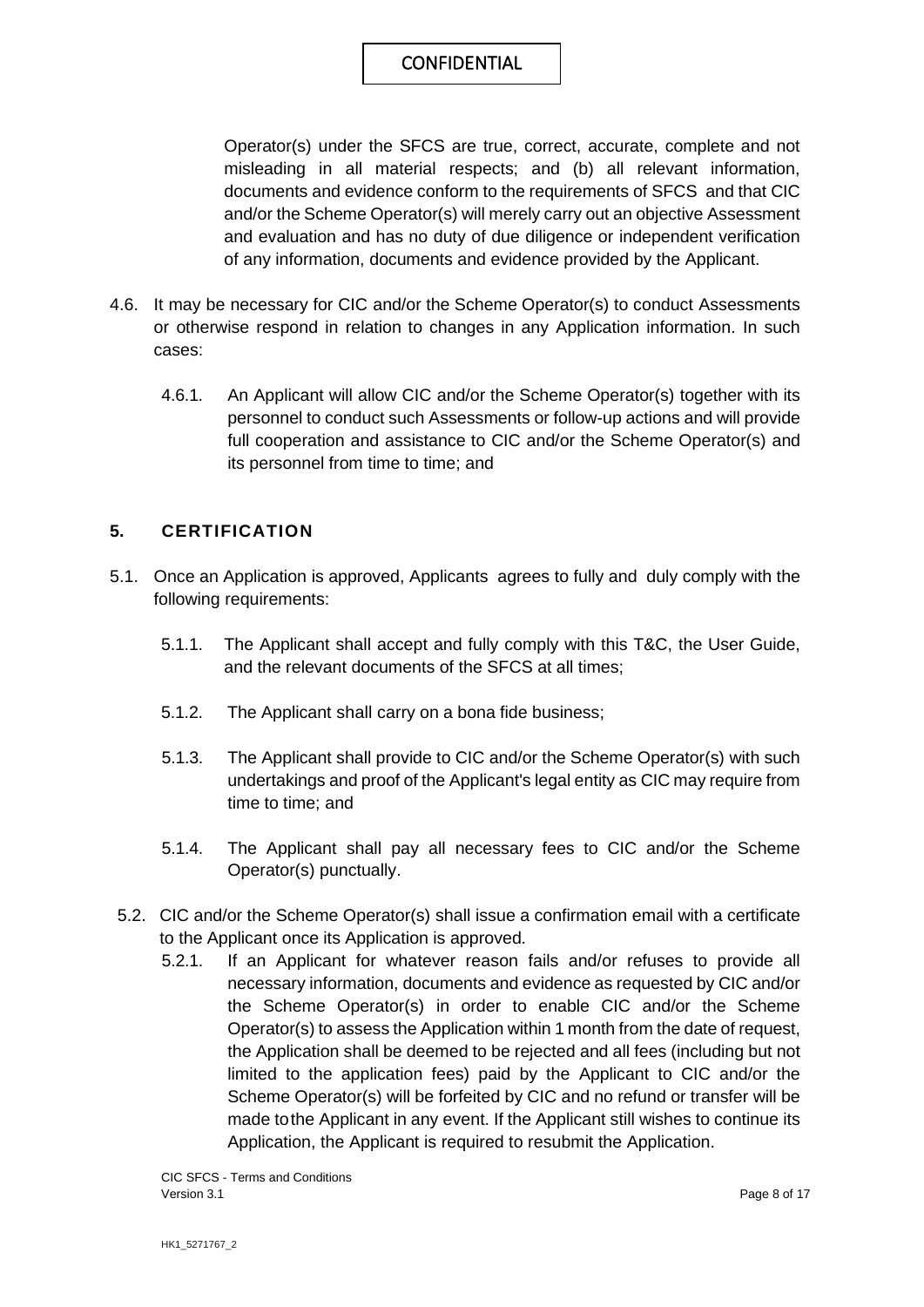Operator(s) under the SFCS are true, correct, accurate, complete and not misleading in all material respects; and (b) all relevant information, documents and evidence conform to the requirements of SFCS and that CIC and/or the Scheme Operator(s) will merely carry out an objective Assessment and evaluation and has no duty of due diligence or independent verification of any information, documents and evidence provided by the Applicant.

- 4.6. It may be necessary for CIC and/or the Scheme Operator(s) to conduct Assessments or otherwise respond in relation to changes in any Application information. In such cases:
	- 4.6.1. An Applicant will allow CIC and/or the Scheme Operator(s) together with its personnel to conduct such Assessments or follow-up actions and will provide full cooperation and assistance to CIC and/or the Scheme Operator(s) and its personnel from time to time; and

#### **5. CERTIFICATION**

- 5.1. Once an Application is approved, Applicants agrees to fully and duly comply with the following requirements:
	- 5.1.1. The Applicant shall accept and fully comply with this T&C, the User Guide, and the relevant documents of the SFCS at all times;
	- 5.1.2. The Applicant shall carry on a bona fide business;
	- 5.1.3. The Applicant shall provide to CIC and/or the Scheme Operator(s) with such undertakings and proof of the Applicant's legal entity as CIC may require from time to time; and
	- 5.1.4. The Applicant shall pay all necessary fees to CIC and/or the Scheme Operator(s) punctually.
- 5.2. CIC and/or the Scheme Operator(s) shall issue a confirmation email with a certificate to the Applicant once its Application is approved.
	- 5.2.1. If an Applicant for whatever reason fails and/or refuses to provide all necessary information, documents and evidence as requested by CIC and/or the Scheme Operator(s) in order to enable CIC and/or the Scheme Operator(s) to assess the Application within 1 month from the date of request, the Application shall be deemed to be rejected and all fees (including but not limited to the application fees) paid by the Applicant to CIC and/or the Scheme Operator(s) will be forfeited by CIC and no refund or transfer will be made to the Applicant in any event. If the Applicant still wishes to continue its Application, the Applicant is required to resubmit the Application.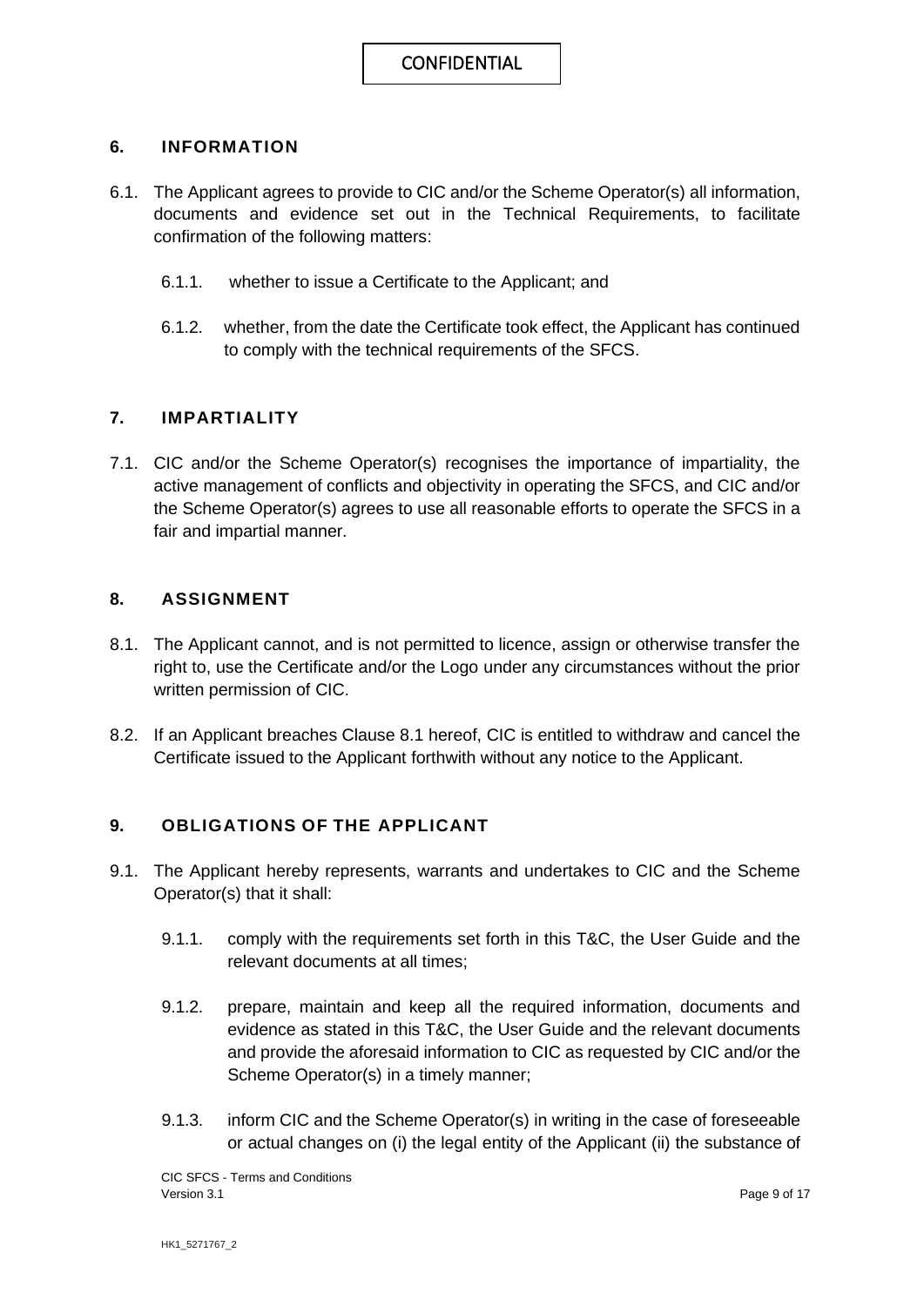#### **6. INFORMATION**

- 6.1. The Applicant agrees to provide to CIC and/or the Scheme Operator(s) all information, documents and evidence set out in the Technical Requirements, to facilitate confirmation of the following matters:
	- 6.1.1. whether to issue a Certificate to the Applicant; and
	- 6.1.2. whether, from the date the Certificate took effect, the Applicant has continued to comply with the technical requirements of the SFCS.

#### **7. IMPARTIALITY**

7.1. CIC and/or the Scheme Operator(s) recognises the importance of impartiality, the active management of conflicts and objectivity in operating the SFCS, and CIC and/or the Scheme Operator(s) agrees to use all reasonable efforts to operate the SFCS in a fair and impartial manner.

#### **8. ASSIGNMENT**

- 8.1. The Applicant cannot, and is not permitted to licence, assign or otherwise transfer the right to, use the Certificate and/or the Logo under any circumstances without the prior written permission of CIC.
- 8.2. If an Applicant breaches Clause 8.1 hereof, CIC is entitled to withdraw and cancel the Certificate issued to the Applicant forthwith without any notice to the Applicant.

#### **9. OBLIGATIONS OF THE APPLICANT**

- 9.1. The Applicant hereby represents, warrants and undertakes to CIC and the Scheme Operator(s) that it shall:
	- 9.1.1. comply with the requirements set forth in this T&C, the User Guide and the relevant documents at all times;
	- 9.1.2. prepare, maintain and keep all the required information, documents and evidence as stated in this T&C, the User Guide and the relevant documents and provide the aforesaid information to CIC as requested by CIC and/or the Scheme Operator(s) in a timely manner;
	- 9.1.3. inform CIC and the Scheme Operator(s) in writing in the case of foreseeable or actual changes on (i) the legal entity of the Applicant (ii) the substance of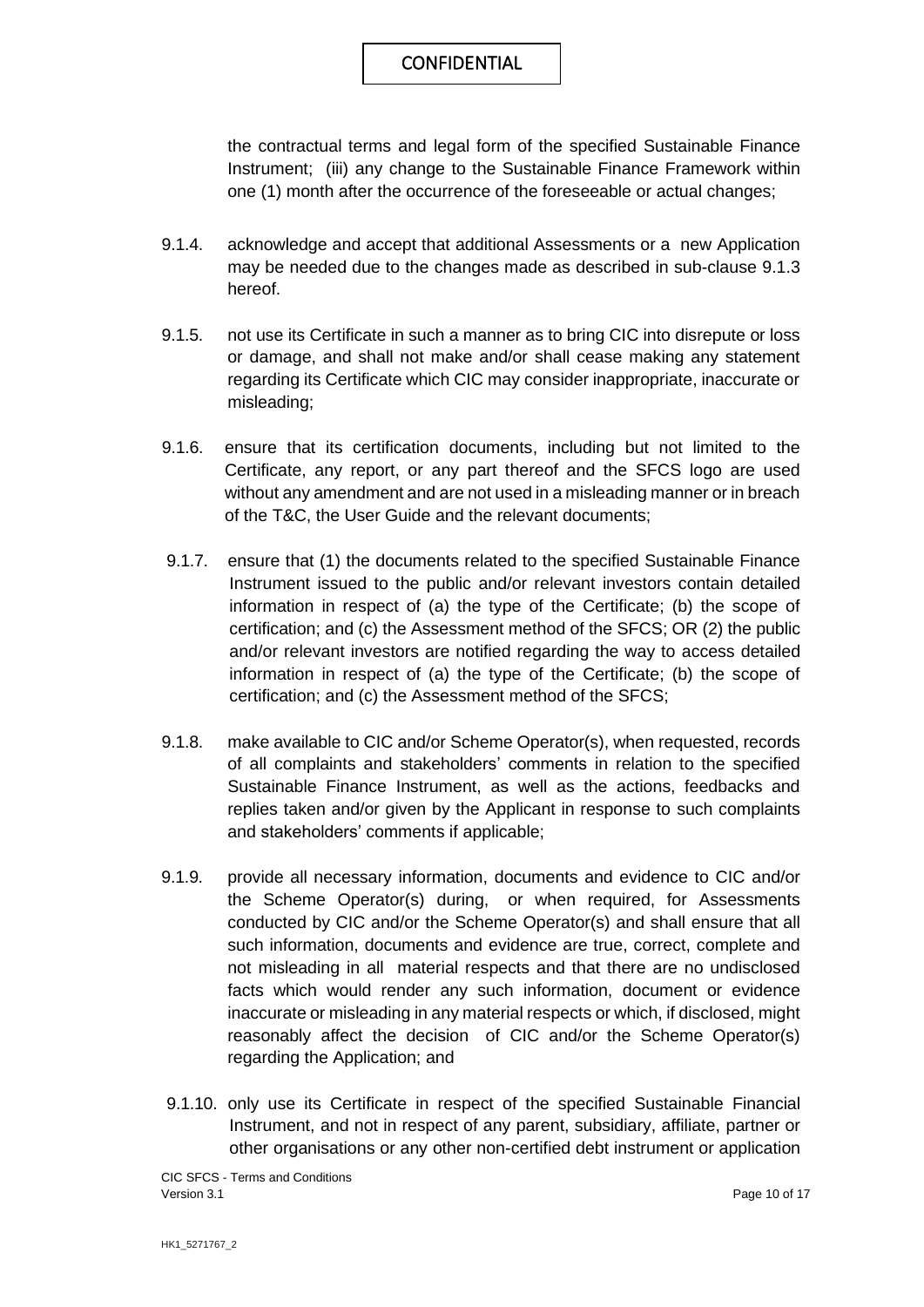the contractual terms and legal form of the specified Sustainable Finance Instrument; (iii) any change to the Sustainable Finance Framework within one (1) month after the occurrence of the foreseeable or actual changes;

- 9.1.4. acknowledge and accept that additional Assessments or a new Application may be needed due to the changes made as described in sub-clause 9.1.3 hereof.
- 9.1.5. not use its Certificate in such a manner as to bring CIC into disrepute or loss or damage, and shall not make and/or shall cease making any statement regarding its Certificate which CIC may consider inappropriate, inaccurate or misleading;
- 9.1.6. ensure that its certification documents, including but not limited to the Certificate, any report, or any part thereof and the SFCS logo are used without any amendment and are not used in a misleading manner or in breach of the T&C, the User Guide and the relevant documents;
- 9.1.7. ensure that (1) the documents related to the specified Sustainable Finance Instrument issued to the public and/or relevant investors contain detailed information in respect of (a) the type of the Certificate; (b) the scope of certification; and (c) the Assessment method of the SFCS; OR (2) the public and/or relevant investors are notified regarding the way to access detailed information in respect of (a) the type of the Certificate; (b) the scope of certification; and (c) the Assessment method of the SFCS;
- 9.1.8. make available to CIC and/or Scheme Operator(s), when requested, records of all complaints and stakeholders' comments in relation to the specified Sustainable Finance Instrument, as well as the actions, feedbacks and replies taken and/or given by the Applicant in response to such complaints and stakeholders' comments if applicable;
- 9.1.9. provide all necessary information, documents and evidence to CIC and/or the Scheme Operator(s) during, or when required, for Assessments conducted by CIC and/or the Scheme Operator(s) and shall ensure that all such information, documents and evidence are true, correct, complete and not misleading in all material respects and that there are no undisclosed facts which would render any such information, document or evidence inaccurate or misleading in any material respects or which, if disclosed, might reasonably affect the decision of CIC and/or the Scheme Operator(s) regarding the Application; and
- 9.1.10. only use its Certificate in respect of the specified Sustainable Financial Instrument, and not in respect of any parent, subsidiary, affiliate, partner or other organisations or any other non-certified debt instrument or application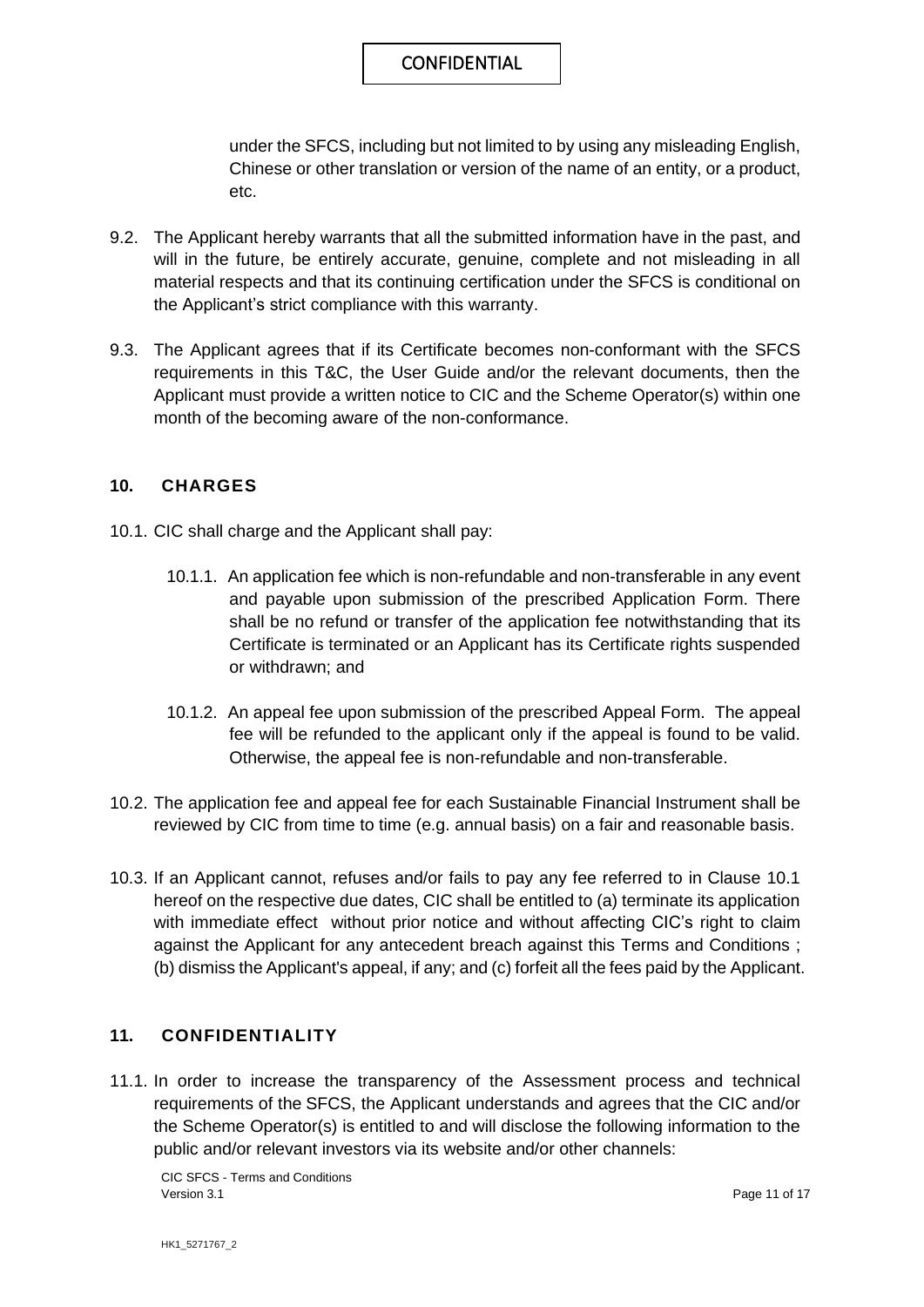under the SFCS, including but not limited to by using any misleading English, Chinese or other translation or version of the name of an entity, or a product, etc.

- 9.2. The Applicant hereby warrants that all the submitted information have in the past, and will in the future, be entirely accurate, genuine, complete and not misleading in all material respects and that its continuing certification under the SFCS is conditional on the Applicant's strict compliance with this warranty.
- 9.3. The Applicant agrees that if its Certificate becomes non-conformant with the SFCS requirements in this T&C, the User Guide and/or the relevant documents, then the Applicant must provide a written notice to CIC and the Scheme Operator(s) within one month of the becoming aware of the non-conformance.

#### **10. CHARGES**

- 10.1. CIC shall charge and the Applicant shall pay:
	- 10.1.1. An application fee which is non-refundable and non-transferable in any event and payable upon submission of the prescribed Application Form. There shall be no refund or transfer of the application fee notwithstanding that its Certificate is terminated or an Applicant has its Certificate rights suspended or withdrawn; and
	- 10.1.2. An appeal fee upon submission of the prescribed Appeal Form. The appeal fee will be refunded to the applicant only if the appeal is found to be valid. Otherwise, the appeal fee is non-refundable and non-transferable.
- 10.2. The application fee and appeal fee for each Sustainable Financial Instrument shall be reviewed by CIC from time to time (e.g. annual basis) on a fair and reasonable basis.
- 10.3. If an Applicant cannot, refuses and/or fails to pay any fee referred to in Clause 10.1 hereof on the respective due dates, CIC shall be entitled to (a) terminate its application with immediate effect without prior notice and without affecting CIC's right to claim against the Applicant for any antecedent breach against this Terms and Conditions ; (b) dismiss the Applicant's appeal, if any; and (c) forfeit all the fees paid by the Applicant.

#### **11. CONFIDENTIALITY**

11.1. In order to increase the transparency of the Assessment process and technical requirements of the SFCS, the Applicant understands and agrees that the CIC and/or the Scheme Operator(s) is entitled to and will disclose the following information to the public and/or relevant investors via its website and/or other channels:

CIC SFCS - Terms and Conditions Version 3.1 **Page 11 of 17** Page 11 of 17

HK1\_5271767\_2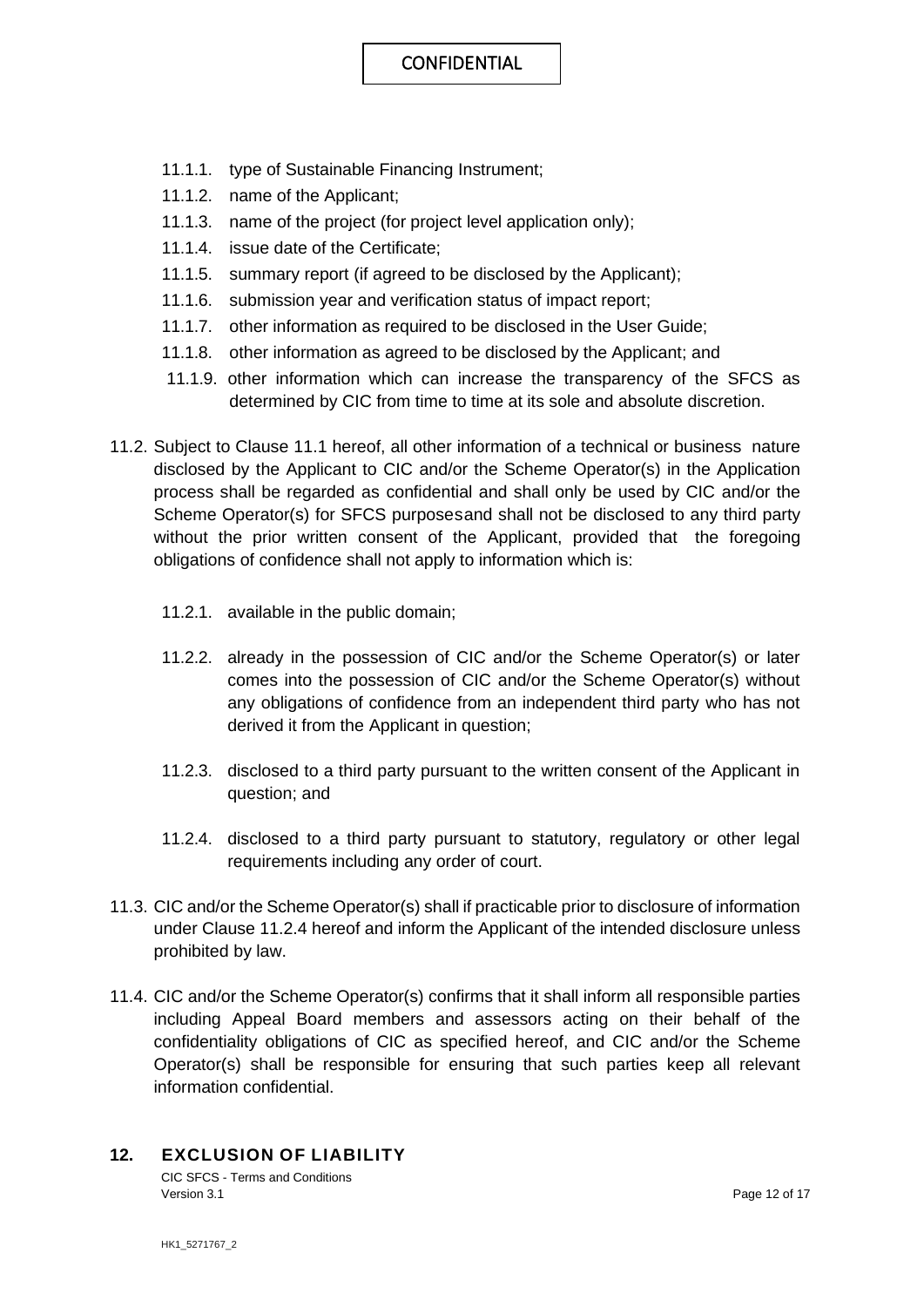- 11.1.1. type of Sustainable Financing Instrument;
- 11.1.2. name of the Applicant;
- 11.1.3. name of the project (for project level application only);
- 11.1.4. issue date of the Certificate;
- 11.1.5. summary report (if agreed to be disclosed by the Applicant);
- 11.1.6. submission year and verification status of impact report;
- 11.1.7. other information as required to be disclosed in the User Guide;
- 11.1.8. other information as agreed to be disclosed by the Applicant; and
- 11.1.9. other information which can increase the transparency of the SFCS as determined by CIC from time to time at its sole and absolute discretion.
- 11.2. Subject to Clause 11.1 hereof, all other information of a technical or business nature disclosed by the Applicant to CIC and/or the Scheme Operator(s) in the Application process shall be regarded as confidential and shall only be used by CIC and/or the Scheme Operator(s) for SFCS purposes and shall not be disclosed to any third party without the prior written consent of the Applicant, provided that the foregoing obligations of confidence shall not apply to information which is:
	- 11.2.1. available in the public domain;
	- 11.2.2. already in the possession of CIC and/or the Scheme Operator(s) or later comes into the possession of CIC and/or the Scheme Operator(s) without any obligations of confidence from an independent third party who has not derived it from the Applicant in question;
	- 11.2.3. disclosed to a third party pursuant to the written consent of the Applicant in question; and
	- 11.2.4. disclosed to a third party pursuant to statutory, regulatory or other legal requirements including any order of court.
- 11.3. CIC and/or the Scheme Operator(s) shall if practicable prior to disclosure of information under Clause 11.2.4 hereof and inform the Applicant of the intended disclosure unless prohibited by law.
- 11.4. CIC and/or the Scheme Operator(s) confirms that it shall inform all responsible parties including Appeal Board members and assessors acting on their behalf of the confidentiality obligations of CIC as specified hereof, and CIC and/or the Scheme Operator(s) shall be responsible for ensuring that such parties keep all relevant information confidential.

#### **12. EXCLUSION OF LIABILITY**

CIC SFCS - Terms and Conditions Version 3.1 Page 12 of 17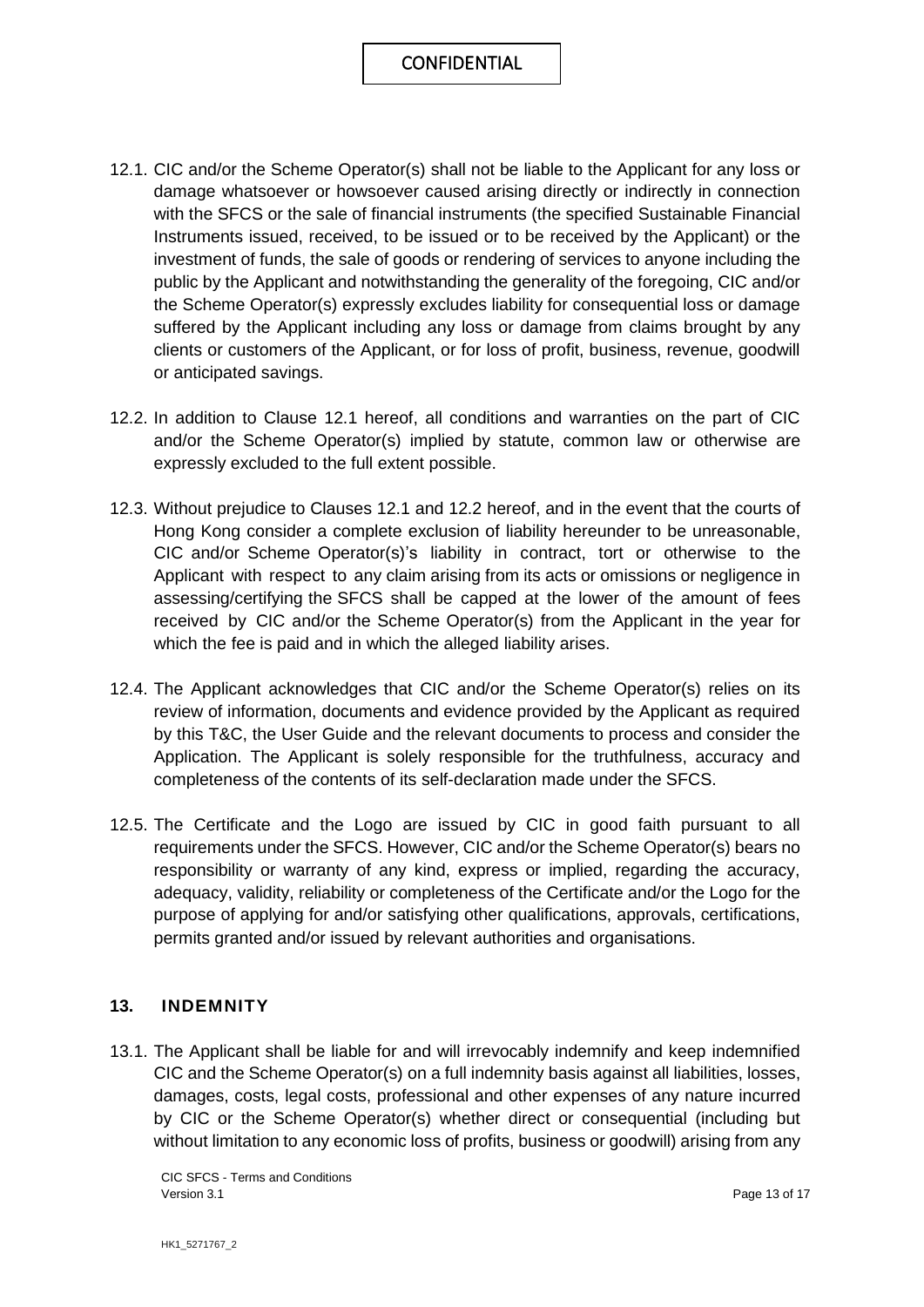- 12.1. CIC and/or the Scheme Operator(s) shall not be liable to the Applicant for any loss or damage whatsoever or howsoever caused arising directly or indirectly in connection with the SFCS or the sale of financial instruments (the specified Sustainable Financial Instruments issued, received, to be issued or to be received by the Applicant) or the investment of funds, the sale of goods or rendering of services to anyone including the public by the Applicant and notwithstanding the generality of the foregoing, CIC and/or the Scheme Operator(s) expressly excludes liability for consequential loss or damage suffered by the Applicant including any loss or damage from claims brought by any clients or customers of the Applicant, or for loss of profit, business, revenue, goodwill or anticipated savings.
- 12.2. In addition to Clause 12.1 hereof, all conditions and warranties on the part of CIC and/or the Scheme Operator(s) implied by statute, common law or otherwise are expressly excluded to the full extent possible.
- 12.3. Without prejudice to Clauses 12.1 and 12.2 hereof, and in the event that the courts of Hong Kong consider a complete exclusion of liability hereunder to be unreasonable, CIC and/or Scheme Operator(s)'s liability in contract, tort or otherwise to the Applicant with respect to any claim arising from its acts or omissions or negligence in assessing/certifying the SFCS shall be capped at the lower of the amount of fees received by CIC and/or the Scheme Operator(s) from the Applicant in the year for which the fee is paid and in which the alleged liability arises.
- 12.4. The Applicant acknowledges that CIC and/or the Scheme Operator(s) relies on its review of information, documents and evidence provided by the Applicant as required by this T&C, the User Guide and the relevant documents to process and consider the Application. The Applicant is solely responsible for the truthfulness, accuracy and completeness of the contents of its self-declaration made under the SFCS.
- 12.5. The Certificate and the Logo are issued by CIC in good faith pursuant to all requirements under the SFCS. However, CIC and/or the Scheme Operator(s) bears no responsibility or warranty of any kind, express or implied, regarding the accuracy, adequacy, validity, reliability or completeness of the Certificate and/or the Logo for the purpose of applying for and/or satisfying other qualifications, approvals, certifications, permits granted and/or issued by relevant authorities and organisations.

#### **13. INDEMNITY**

13.1. The Applicant shall be liable for and will irrevocably indemnify and keep indemnified CIC and the Scheme Operator(s) on a full indemnity basis against all liabilities, losses, damages, costs, legal costs, professional and other expenses of any nature incurred by CIC or the Scheme Operator(s) whether direct or consequential (including but without limitation to any economic loss of profits, business or goodwill) arising from any

CIC SFCS - Terms and Conditions Version 3.1 **Page 13 of 17** Page 13 of 17

HK1\_5271767\_2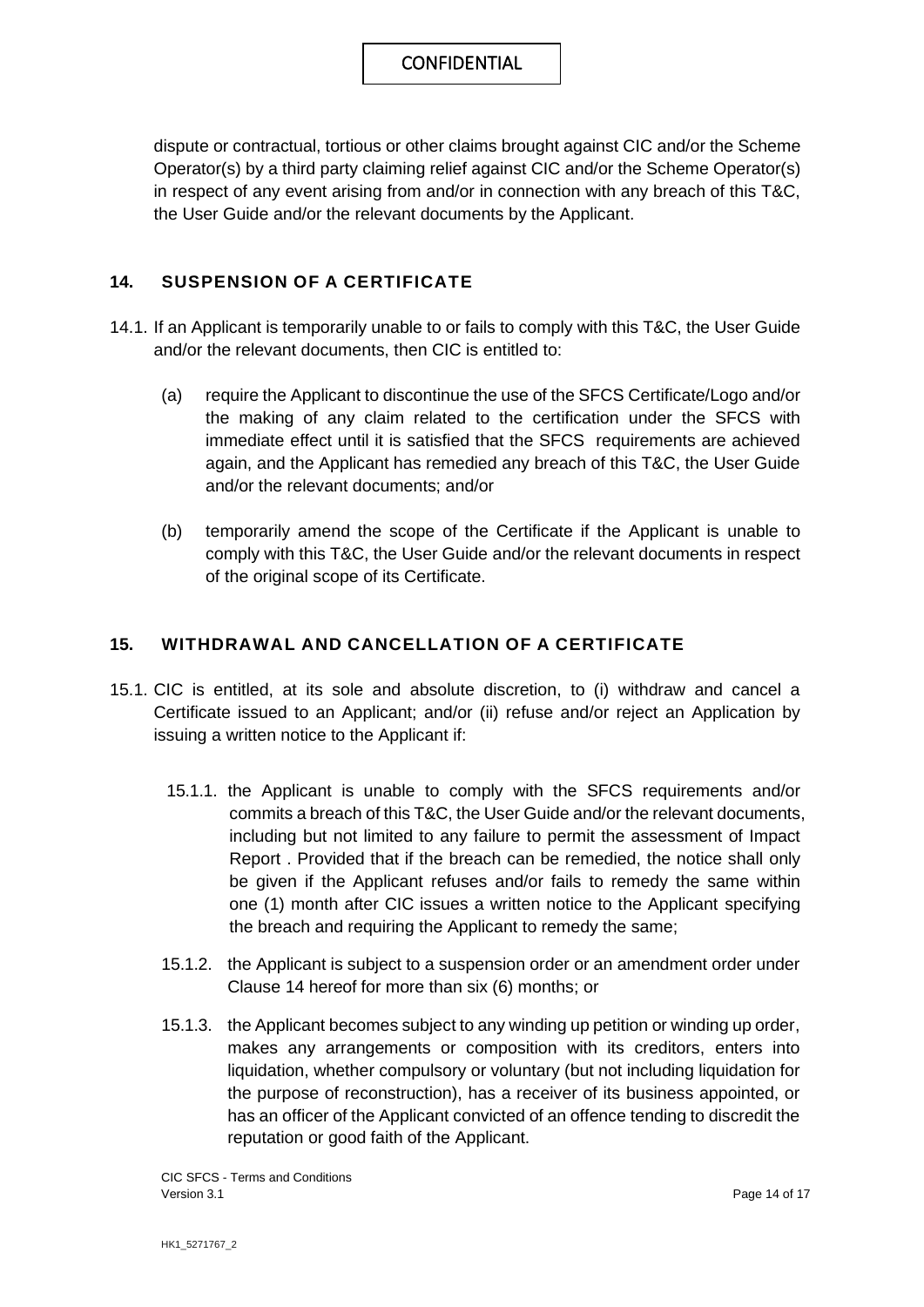dispute or contractual, tortious or other claims brought against CIC and/or the Scheme Operator(s) by a third party claiming relief against CIC and/or the Scheme Operator(s) in respect of any event arising from and/or in connection with any breach of this T&C, the User Guide and/or the relevant documents by the Applicant.

#### **14. SUSPENSION OF A CERTIFICATE**

- 14.1. If an Applicant is temporarily unable to or fails to comply with this T&C, the User Guide and/or the relevant documents, then CIC is entitled to:
	- (a) require the Applicant to discontinue the use of the SFCS Certificate/Logo and/or the making of any claim related to the certification under the SFCS with immediate effect until it is satisfied that the SFCS requirements are achieved again, and the Applicant has remedied any breach of this T&C, the User Guide and/or the relevant documents; and/or
	- (b) temporarily amend the scope of the Certificate if the Applicant is unable to comply with this T&C, the User Guide and/or the relevant documents in respect of the original scope of its Certificate.

#### **15. WITHDRAWAL AND CANCELLATION OF A CERTIFICATE**

- 15.1. CIC is entitled, at its sole and absolute discretion, to (i) withdraw and cancel a Certificate issued to an Applicant; and/or (ii) refuse and/or reject an Application by issuing a written notice to the Applicant if:
	- 15.1.1. the Applicant is unable to comply with the SFCS requirements and/or commits a breach of this T&C, the User Guide and/or the relevant documents, including but not limited to any failure to permit the assessment of Impact Report . Provided that if the breach can be remedied, the notice shall only be given if the Applicant refuses and/or fails to remedy the same within one (1) month after CIC issues a written notice to the Applicant specifying the breach and requiring the Applicant to remedy the same;
	- 15.1.2. the Applicant is subject to a suspension order or an amendment order under Clause 14 hereof for more than six (6) months; or
	- 15.1.3. the Applicant becomes subject to any winding up petition or winding up order, makes any arrangements or composition with its creditors, enters into liquidation, whether compulsory or voluntary (but not including liquidation for the purpose of reconstruction), has a receiver of its business appointed, or has an officer of the Applicant convicted of an offence tending to discredit the reputation or good faith of the Applicant.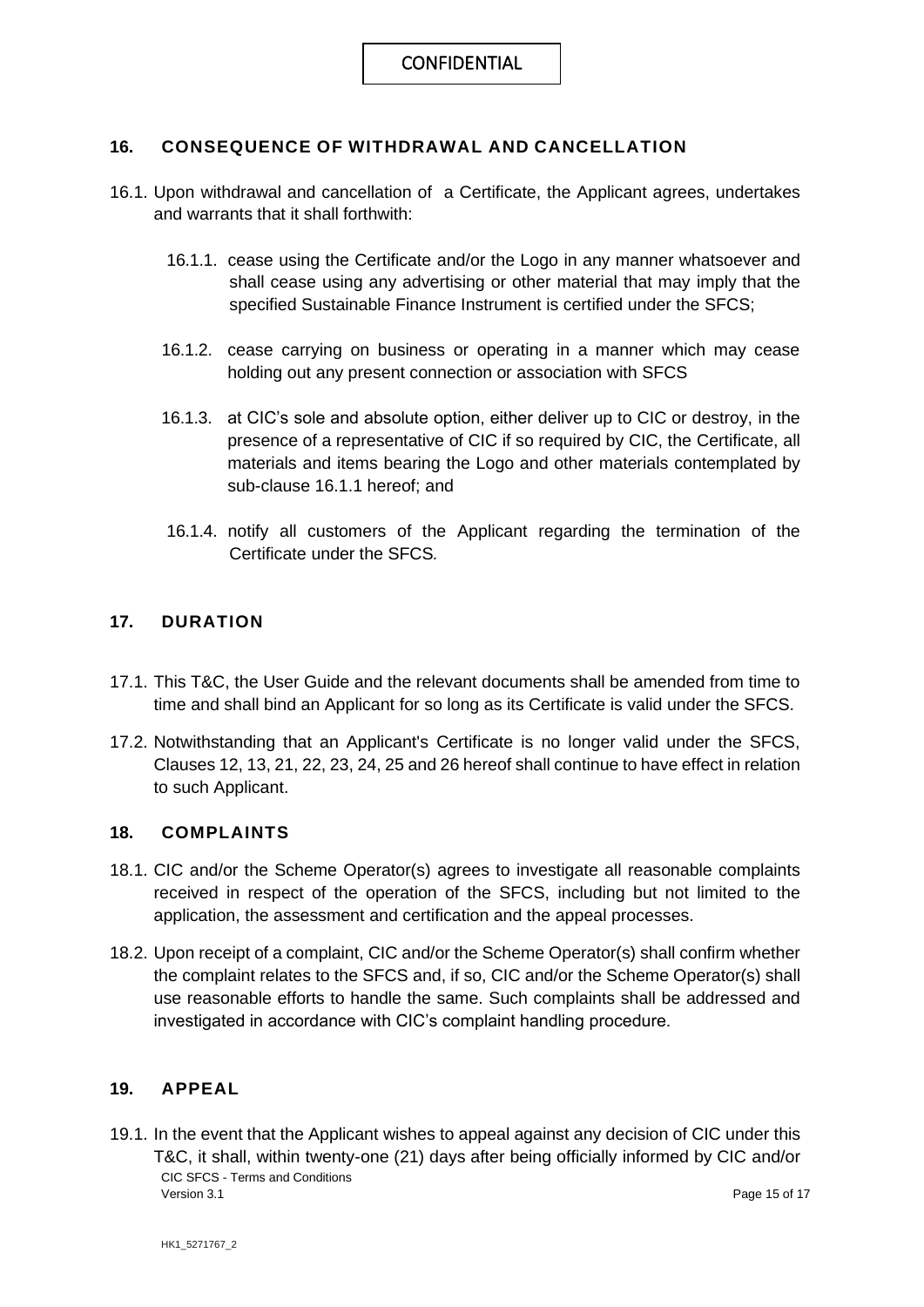#### **16. CONSEQUENCE OF WITHDRAWAL AND CANCELLATION**

- 16.1. Upon withdrawal and cancellation of a Certificate, the Applicant agrees, undertakes and warrants that it shall forthwith:
	- 16.1.1. cease using the Certificate and/or the Logo in any manner whatsoever and shall cease using any advertising or other material that may imply that the specified Sustainable Finance Instrument is certified under the SFCS;
	- 16.1.2. cease carrying on business or operating in a manner which may cease holding out any present connection or association with SFCS
	- 16.1.3. at CIC's sole and absolute option, either deliver up to CIC or destroy, in the presence of a representative of CIC if so required by CIC, the Certificate, all materials and items bearing the Logo and other materials contemplated by sub-clause 16.1.1 hereof; and
	- 16.1.4. notify all customers of the Applicant regarding the termination of the Certificate under the SFCS*.*

#### **17. DURATION**

- 17.1. This T&C, the User Guide and the relevant documents shall be amended from time to time and shall bind an Applicant for so long as its Certificate is valid under the SFCS.
- 17.2. Notwithstanding that an Applicant's Certificate is no longer valid under the SFCS, Clauses 12, 13, 21, 22, 23, 24, 25 and 26 hereof shall continue to have effect in relation to such Applicant.

#### **18. COMPLAINTS**

- 18.1. CIC and/or the Scheme Operator(s) agrees to investigate all reasonable complaints received in respect of the operation of the SFCS, including but not limited to the application, the assessment and certification and the appeal processes.
- 18.2. Upon receipt of a complaint, CIC and/or the Scheme Operator(s) shall confirm whether the complaint relates to the SFCS and, if so, CIC and/or the Scheme Operator(s) shall use reasonable efforts to handle the same. Such complaints shall be addressed and investigated in accordance with CIC's complaint handling procedure.

#### **19. APPEAL**

CIC SFCS - Terms and Conditions Version 3.1 **Page 15 of 17** Page 15 of 17 19.1. In the event that the Applicant wishes to appeal against any decision of CIC under this T&C, it shall, within twenty-one (21) days after being officially informed by CIC and/or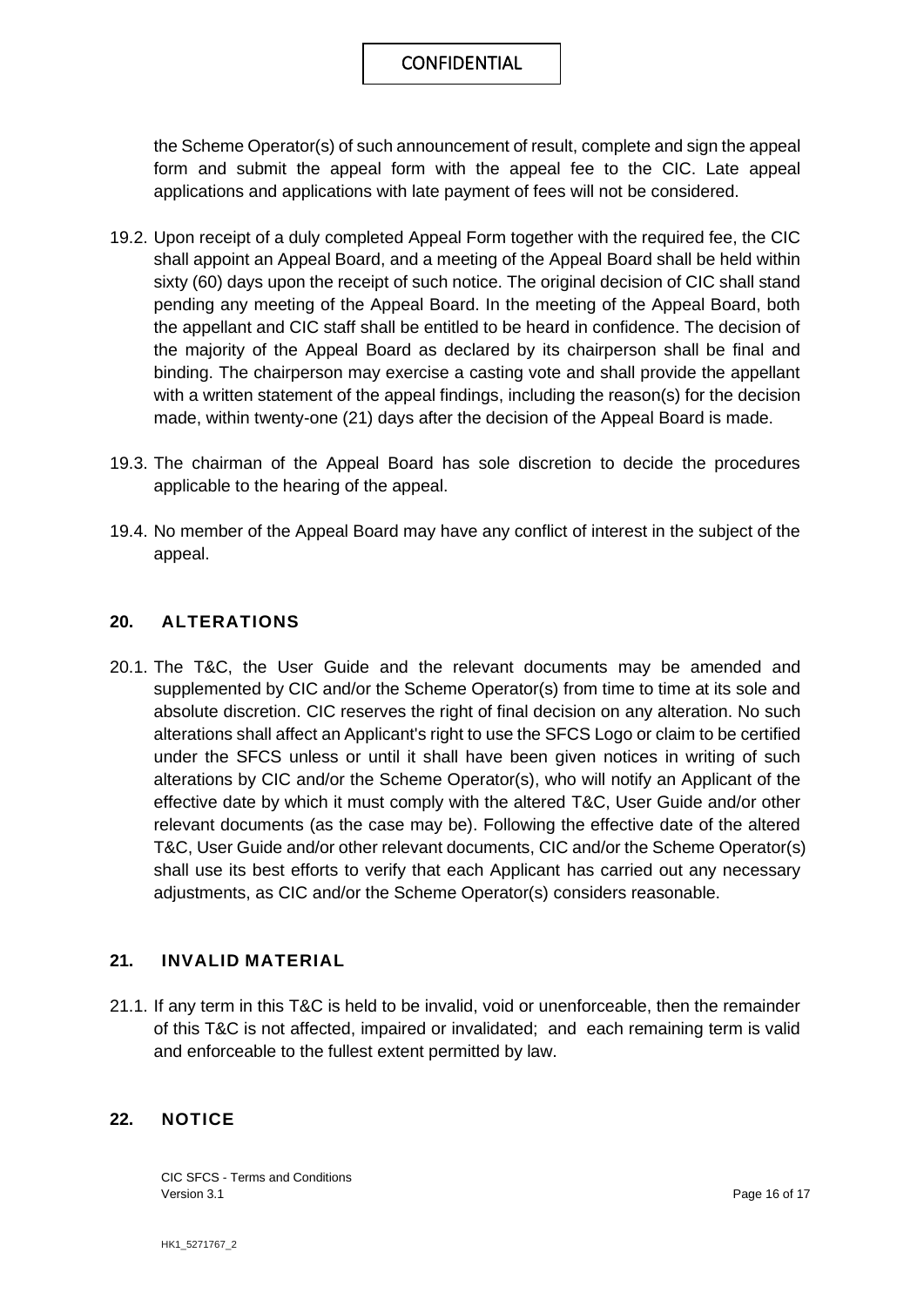the Scheme Operator(s) of such announcement of result, complete and sign the appeal form and submit the appeal form with the appeal fee to the CIC. Late appeal applications and applications with late payment of fees will not be considered.

- 19.2. Upon receipt of a duly completed Appeal Form together with the required fee, the CIC shall appoint an Appeal Board, and a meeting of the Appeal Board shall be held within sixty (60) days upon the receipt of such notice. The original decision of CIC shall stand pending any meeting of the Appeal Board. In the meeting of the Appeal Board, both the appellant and CIC staff shall be entitled to be heard in confidence. The decision of the majority of the Appeal Board as declared by its chairperson shall be final and binding. The chairperson may exercise a casting vote and shall provide the appellant with a written statement of the appeal findings, including the reason(s) for the decision made, within twenty-one (21) days after the decision of the Appeal Board is made.
- 19.3. The chairman of the Appeal Board has sole discretion to decide the procedures applicable to the hearing of the appeal.
- 19.4. No member of the Appeal Board may have any conflict of interest in the subject of the appeal.

#### **20. ALTERATIONS**

20.1. The T&C, the User Guide and the relevant documents may be amended and supplemented by CIC and/or the Scheme Operator(s) from time to time at its sole and absolute discretion. CIC reserves the right of final decision on any alteration. No such alterations shall affect an Applicant's right to use the SFCS Logo or claim to be certified under the SFCS unless or until it shall have been given notices in writing of such alterations by CIC and/or the Scheme Operator(s), who will notify an Applicant of the effective date by which it must comply with the altered T&C, User Guide and/or other relevant documents (as the case may be). Following the effective date of the altered T&C, User Guide and/or other relevant documents, CIC and/or the Scheme Operator(s) shall use its best efforts to verify that each Applicant has carried out any necessary adjustments, as CIC and/or the Scheme Operator(s) considers reasonable.

#### **21. INVALID MATERIAL**

21.1. If any term in this T&C is held to be invalid, void or unenforceable, then the remainder of this T&C is not affected, impaired or invalidated; and each remaining term is valid and enforceable to the fullest extent permitted by law.

#### **22. NOTICE**

CIC SFCS - Terms and Conditions Version 3.1 **Page 16 of 17** Page 16 of 17